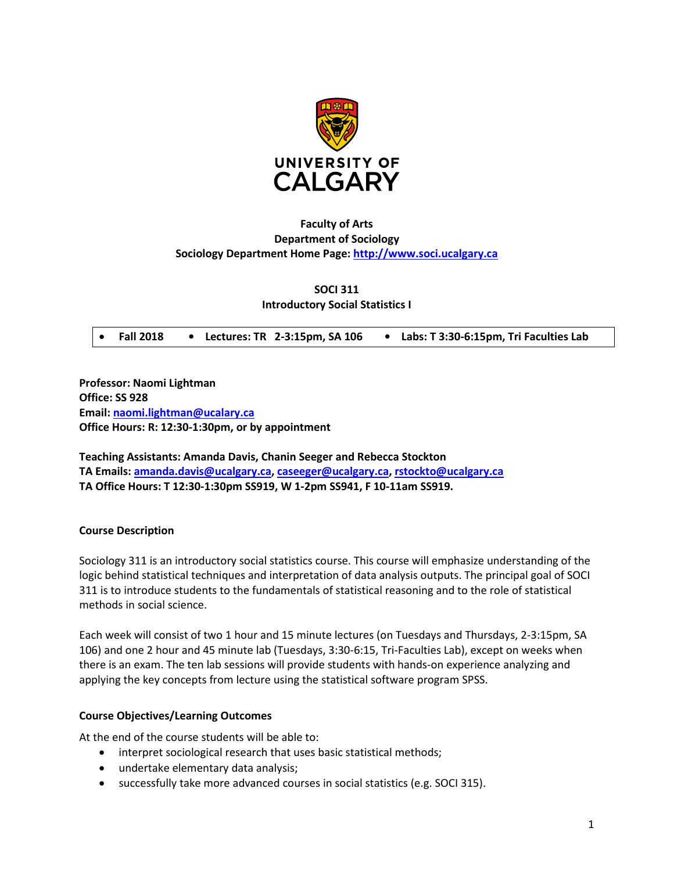

# **Faculty of Arts Department of Sociology Sociology Department Home Page: [http://www.soci.ucalgary.ca](http://www.soci.ucalgary.ca/)**

**SOCI 311 Introductory Social Statistics I**

• **Fall 2018 • Lectures: TR 2-3:15pm, SA 106 • Labs: T 3:30-6:15pm, Tri Faculties Lab**

**Professor: Naomi Lightman Office: SS 928 Email: [naomi.lightman@ucalary.ca](mailto:naomi.lightman@ucalary.ca) Office Hours: R: 12:30-1:30pm, or by appointment**

**Teaching Assistants: Amanda Davis, Chanin Seeger and Rebecca Stockton TA Emails: [amanda.davis@ucalgary.ca,](mailto:amanda.davis@ucalgary.ca) caseeger@ucalgary.ca[, rstockto@ucalgary.ca](mailto:rstockto@ucalgary.ca) TA Office Hours: T 12:30-1:30pm SS919, W 1-2pm SS941, F 10-11am SS919.**

### **Course Description**

Sociology 311 is an introductory social statistics course. This course will emphasize understanding of the logic behind statistical techniques and interpretation of data analysis outputs. The principal goal of SOCI 311 is to introduce students to the fundamentals of statistical reasoning and to the role of statistical methods in social science.

Each week will consist of two 1 hour and 15 minute lectures (on Tuesdays and Thursdays, 2-3:15pm, SA 106) and one 2 hour and 45 minute lab (Tuesdays, 3:30-6:15, Tri-Faculties Lab), except on weeks when there is an exam. The ten lab sessions will provide students with hands-on experience analyzing and applying the key concepts from lecture using the statistical software program SPSS.

#### **Course Objectives/Learning Outcomes**

At the end of the course students will be able to:

- interpret sociological research that uses basic statistical methods;
- undertake elementary data analysis;
- successfully take more advanced courses in social statistics (e.g. SOCI 315).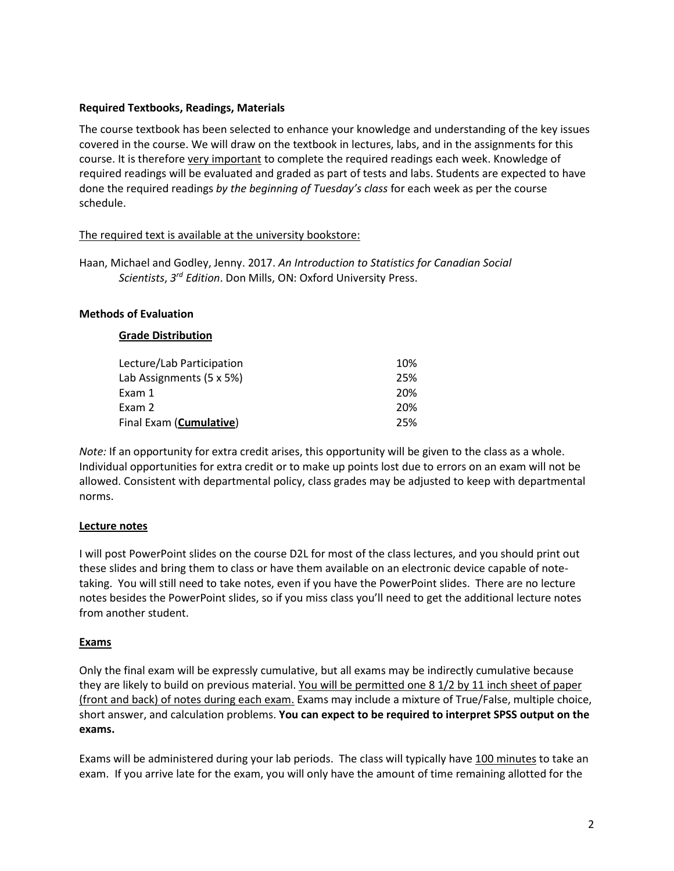## **Required Textbooks, Readings, Materials**

The course textbook has been selected to enhance your knowledge and understanding of the key issues covered in the course. We will draw on the textbook in lectures, labs, and in the assignments for this course. It is therefore very important to complete the required readings each week. Knowledge of required readings will be evaluated and graded as part of tests and labs. Students are expected to have done the required readings *by the beginning of Tuesday's class* for each week as per the course schedule.

# The required text is available at the university bookstore:

Haan, Michael and Godley, Jenny. 2017. *An Introduction to Statistics for Canadian Social Scientists*, *3rd Edition*. Don Mills, ON: Oxford University Press.

### **Methods of Evaluation**

### **Grade Distribution**

| Lecture/Lab Participation        | 10% |
|----------------------------------|-----|
| Lab Assignments (5 x 5%)         | 25% |
| Exam 1                           | 20% |
| Exam 2                           | 20% |
| Final Exam ( <b>Cumulative</b> ) | 25% |

*Note:* If an opportunity for extra credit arises, this opportunity will be given to the class as a whole. Individual opportunities for extra credit or to make up points lost due to errors on an exam will not be allowed. Consistent with departmental policy, class grades may be adjusted to keep with departmental norms.

### **Lecture notes**

I will post PowerPoint slides on the course D2L for most of the class lectures, and you should print out these slides and bring them to class or have them available on an electronic device capable of notetaking. You will still need to take notes, even if you have the PowerPoint slides. There are no lecture notes besides the PowerPoint slides, so if you miss class you'll need to get the additional lecture notes from another student.

### **Exams**

Only the final exam will be expressly cumulative, but all exams may be indirectly cumulative because they are likely to build on previous material. You will be permitted one 8 1/2 by 11 inch sheet of paper (front and back) of notes during each exam. Exams may include a mixture of True/False, multiple choice, short answer, and calculation problems. **You can expect to be required to interpret SPSS output on the exams.**

Exams will be administered during your lab periods. The class will typically have 100 minutes to take an exam. If you arrive late for the exam, you will only have the amount of time remaining allotted for the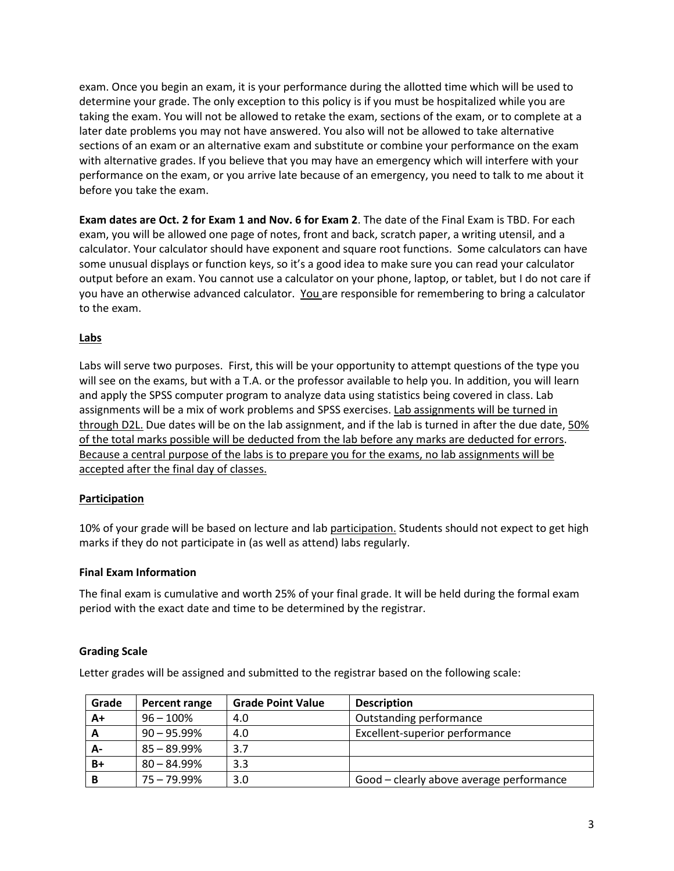exam. Once you begin an exam, it is your performance during the allotted time which will be used to determine your grade. The only exception to this policy is if you must be hospitalized while you are taking the exam. You will not be allowed to retake the exam, sections of the exam, or to complete at a later date problems you may not have answered. You also will not be allowed to take alternative sections of an exam or an alternative exam and substitute or combine your performance on the exam with alternative grades. If you believe that you may have an emergency which will interfere with your performance on the exam, or you arrive late because of an emergency, you need to talk to me about it before you take the exam.

**Exam dates are Oct. 2 for Exam 1 and Nov. 6 for Exam 2**. The date of the Final Exam is TBD. For each exam, you will be allowed one page of notes, front and back, scratch paper, a writing utensil, and a calculator. Your calculator should have exponent and square root functions. Some calculators can have some unusual displays or function keys, so it's a good idea to make sure you can read your calculator output before an exam. You cannot use a calculator on your phone, laptop, or tablet, but I do not care if you have an otherwise advanced calculator. You are responsible for remembering to bring a calculator to the exam.

### **Labs**

Labs will serve two purposes. First, this will be your opportunity to attempt questions of the type you will see on the exams, but with a T.A. or the professor available to help you. In addition, you will learn and apply the SPSS computer program to analyze data using statistics being covered in class. Lab assignments will be a mix of work problems and SPSS exercises. Lab assignments will be turned in through D2L. Due dates will be on the lab assignment, and if the lab is turned in after the due date, 50% of the total marks possible will be deducted from the lab before any marks are deducted for errors. Because a central purpose of the labs is to prepare you for the exams, no lab assignments will be accepted after the final day of classes.

# **Participation**

10% of your grade will be based on lecture and lab participation. Students should not expect to get high marks if they do not participate in (as well as attend) labs regularly.

### **Final Exam Information**

The final exam is cumulative and worth 25% of your final grade. It will be held during the formal exam period with the exact date and time to be determined by the registrar.

### **Grading Scale**

Letter grades will be assigned and submitted to the registrar based on the following scale:

| Grade | Percent range  | <b>Grade Point Value</b> | <b>Description</b>                       |
|-------|----------------|--------------------------|------------------------------------------|
| $A+$  | $96 - 100\%$   | 4.0                      | Outstanding performance                  |
| A     | $90 - 95.99\%$ | 4.0                      | Excellent-superior performance           |
| А-    | $85 - 89.99\%$ | 3.7                      |                                          |
| $B+$  | $80 - 84.99\%$ | 3.3                      |                                          |
| в     | $75 - 79.99\%$ | 3.0                      | Good - clearly above average performance |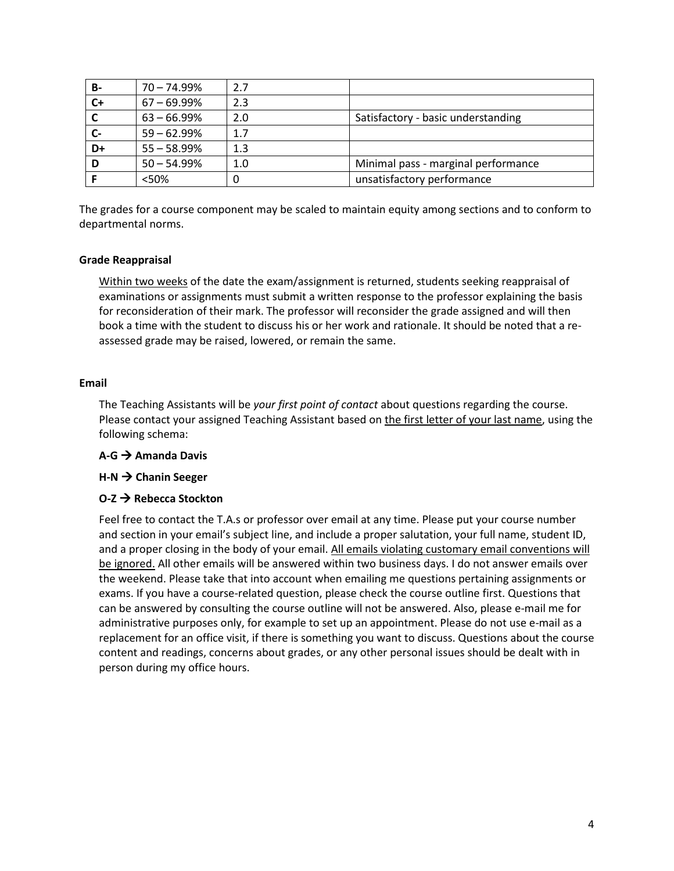| В-    | $70 - 74.99%$  | 2.7 |                                     |
|-------|----------------|-----|-------------------------------------|
| $C +$ | $67 - 69.99%$  | 2.3 |                                     |
|       | $63 - 66.99%$  | 2.0 | Satisfactory - basic understanding  |
|       | $59 - 62.99%$  | 1.7 |                                     |
| D+    | $55 - 58.99%$  | 1.3 |                                     |
| D     | $50 - 54.99\%$ | 1.0 | Minimal pass - marginal performance |
|       | <50%           | 0   | unsatisfactory performance          |

The grades for a course component may be scaled to maintain equity among sections and to conform to departmental norms.

### **Grade Reappraisal**

Within two weeks of the date the exam/assignment is returned, students seeking reappraisal of examinations or assignments must submit a written response to the professor explaining the basis for reconsideration of their mark. The professor will reconsider the grade assigned and will then book a time with the student to discuss his or her work and rationale. It should be noted that a reassessed grade may be raised, lowered, or remain the same.

### **Email**

The Teaching Assistants will be *your first point of contact* about questions regarding the course. Please contact your assigned Teaching Assistant based on the first letter of your last name, using the following schema:

### **A-G Amanda Davis**

### **H-N → Chanin Seeger**

### **O-Z → Rebecca Stockton**

Feel free to contact the T.A.s or professor over email at any time. Please put your course number and section in your email's subject line, and include a proper salutation, your full name, student ID, and a proper closing in the body of your email. All emails violating customary email conventions will be ignored. All other emails will be answered within two business days. I do not answer emails over the weekend. Please take that into account when emailing me questions pertaining assignments or exams. If you have a course-related question, please check the course outline first. Questions that can be answered by consulting the course outline will not be answered. Also, please e-mail me for administrative purposes only, for example to set up an appointment. Please do not use e-mail as a replacement for an office visit, if there is something you want to discuss. Questions about the course content and readings, concerns about grades, or any other personal issues should be dealt with in person during my office hours.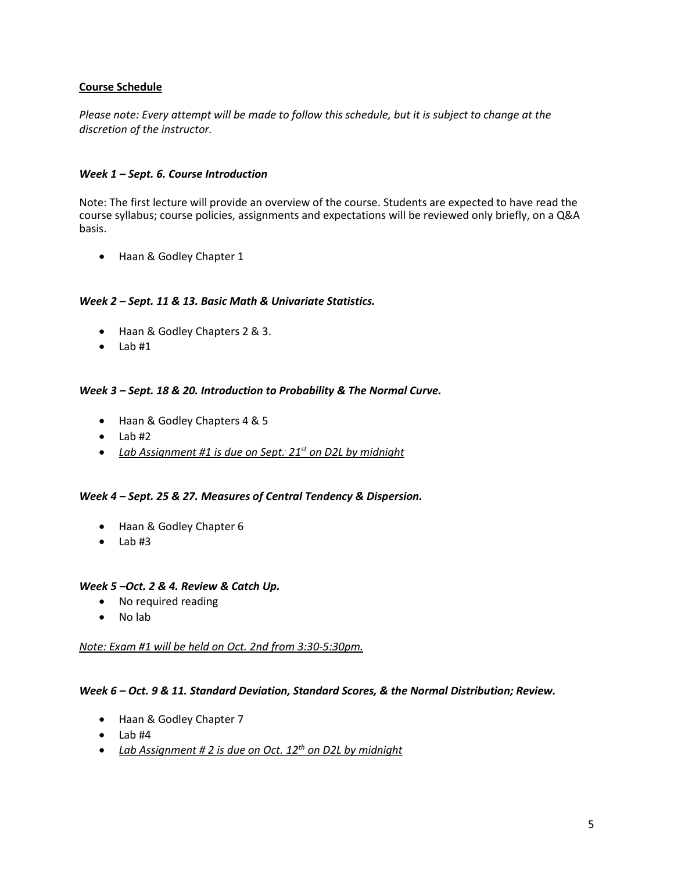# **Course Schedule**

*Please note: Every attempt will be made to follow this schedule, but it is subject to change at the discretion of the instructor.*

## *Week 1 – Sept. 6. Course Introduction*

Note: The first lecture will provide an overview of the course. Students are expected to have read the course syllabus; course policies, assignments and expectations will be reviewed only briefly, on a Q&A basis.

• Haan & Godley Chapter 1

### *Week 2 – Sept. 11 & 13. Basic Math & Univariate Statistics.*

- Haan & Godley Chapters 2 & 3.
- $\bullet$  Lab#1

### *Week 3 – Sept. 18 & 20. Introduction to Probability & The Normal Curve.*

- Haan & Godley Chapters 4 & 5
- $\bullet$  Lab#2
- *Lab Assignment #1 is due on Sept. . 21st on D2L by midnight*

#### *Week 4 – Sept. 25 & 27. Measures of Central Tendency & Dispersion.*

- Haan & Godley Chapter 6
- $\bullet$  Lab#3

#### *Week 5 –Oct. 2 & 4. Review & Catch Up.*

- No required reading
- No lab

#### *Note: Exam #1 will be held on Oct. 2nd from 3:30-5:30pm.*

#### *Week 6 – Oct. 9 & 11. Standard Deviation, Standard Scores, & the Normal Distribution; Review.*

- Haan & Godley Chapter 7
- $\bullet$  Lab #4
- *Lab Assignment # 2 is due on Oct. 12th on D2L by midnight*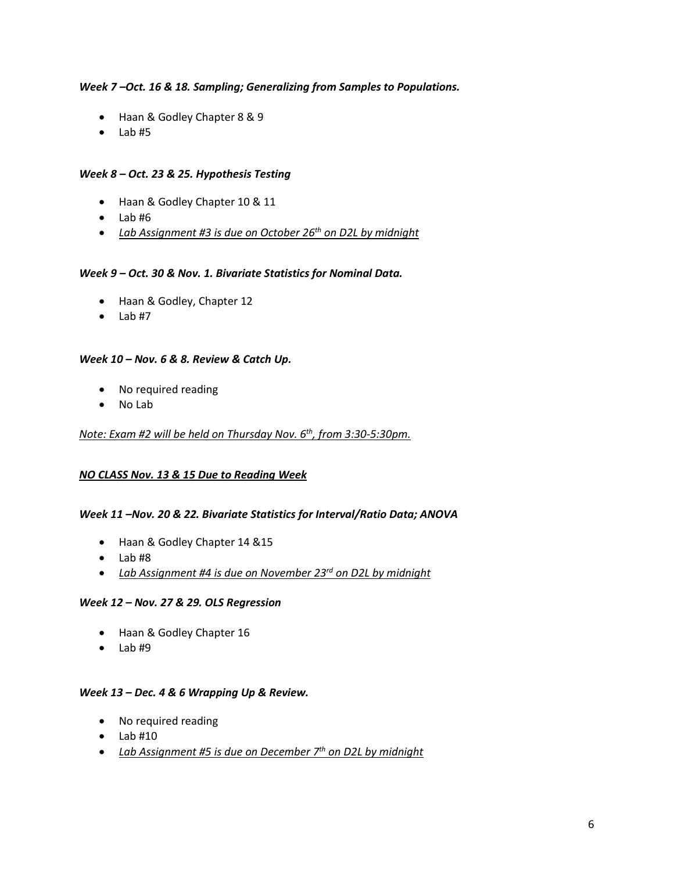# *Week 7 –Oct. 16 & 18. Sampling; Generalizing from Samples to Populations.*

- Haan & Godley Chapter 8 & 9
- $\bullet$  Lab#5

# *Week 8 – Oct. 23 & 25. Hypothesis Testing*

- Haan & Godley Chapter 10 & 11
- $\bullet$  Lab #6
- *Lab Assignment #3 is due on October 26th on D2L by midnight*

### *Week 9 – Oct. 30 & Nov. 1. Bivariate Statistics for Nominal Data.*

- Haan & Godley, Chapter 12
- $\bullet$  Lab#7

### *Week 10 – Nov. 6 & 8. Review & Catch Up.*

- No required reading
- No Lab

### *Note: Exam #2 will be held on Thursday Nov. 6th, from 3:30-5:30pm.*

### *NO CLASS Nov. 13 & 15 Due to Reading Week*

### *Week 11 –Nov. 20 & 22. Bivariate Statistics for Interval/Ratio Data; ANOVA*

- Haan & Godley Chapter 14 &15
- $\bullet$  Lab#8
- *Lab Assignment #4 is due on November 23rd on D2L by midnight*

### *Week 12 – Nov. 27 & 29. OLS Regression*

- Haan & Godley Chapter 16
- $\bullet$  Lab#9

### *Week 13 – Dec. 4 & 6 Wrapping Up & Review.*

- No required reading
- Lab #10
- *Lab Assignment #5 is due on December 7th on D2L by midnight*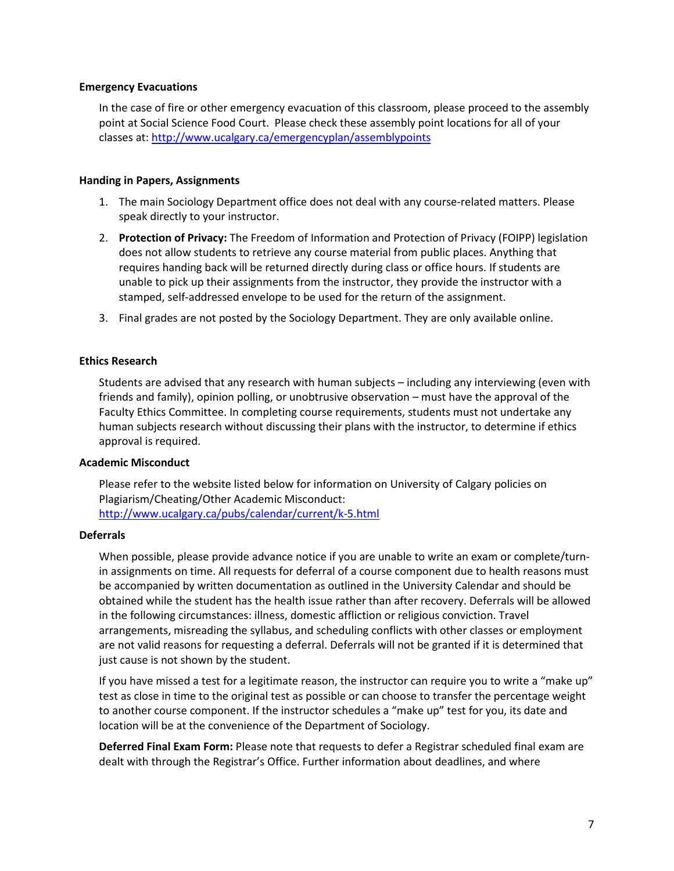#### **Emergency Evacuations**

In the case of fire or other emergency evacuation of this classroom, please proceed to the assembly point at Social Science Food Court. Please check these assembly point locations for all of your classes at[: http://www.ucalgary.ca/emergencyplan/assemblypoints](http://www.ucalgary.ca/emergencyplan/assemblypoints)

### **Handing in Papers, Assignments**

- 1. The main Sociology Department office does not deal with any course-related matters. Please speak directly to your instructor.
- 2. **Protection of Privacy:** The Freedom of Information and Protection of Privacy (FOIPP) legislation does not allow students to retrieve any course material from public places. Anything that requires handing back will be returned directly during class or office hours. If students are unable to pick up their assignments from the instructor, they provide the instructor with a stamped, self-addressed envelope to be used for the return of the assignment.
- 3. Final grades are not posted by the Sociology Department. They are only available online.

### **Ethics Research**

Students are advised that any research with human subjects – including any interviewing (even with friends and family), opinion polling, or unobtrusive observation – must have the approval of the Faculty Ethics Committee. In completing course requirements, students must not undertake any human subjects research without discussing their plans with the instructor, to determine if ethics approval is required.

#### **Academic Misconduct**

Please refer to the website listed below for information on University of Calgary policies on Plagiarism/Cheating/Other Academic Misconduct: <http://www.ucalgary.ca/pubs/calendar/current/k-5.html>

#### **Deferrals**

When possible, please provide advance notice if you are unable to write an exam or complete/turnin assignments on time. All requests for deferral of a course component due to health reasons must be accompanied by written documentation as outlined in the University Calendar and should be obtained while the student has the health issue rather than after recovery. Deferrals will be allowed in the following circumstances: illness, domestic affliction or religious conviction. Travel arrangements, misreading the syllabus, and scheduling conflicts with other classes or employment are not valid reasons for requesting a deferral. Deferrals will not be granted if it is determined that just cause is not shown by the student.

If you have missed a test for a legitimate reason, the instructor can require you to write a "make up" test as close in time to the original test as possible or can choose to transfer the percentage weight to another course component. If the instructor schedules a "make up" test for you, its date and location will be at the convenience of the Department of Sociology.

**Deferred Final Exam Form:** Please note that requests to defer a Registrar scheduled final exam are dealt with through the Registrar's Office. Further information about deadlines, and where